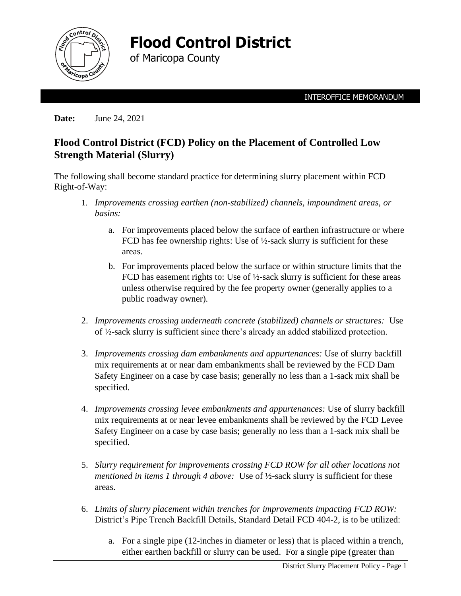

**Flood Control District** 

of Maricopa County

**Date:** June 24, 2021

## **Flood Control District (FCD) Policy on the Placement of Controlled Low Strength Material (Slurry)**

The following shall become standard practice for determining slurry placement within FCD Right-of-Way:

- 1. *Improvements crossing earthen (non-stabilized) channels, impoundment areas, or basins:*
	- a. For improvements placed below the surface of earthen infrastructure or where FCD has fee ownership rights: Use of  $\frac{1}{2}$ -sack slurry is sufficient for these areas.
	- b. For improvements placed below the surface or within structure limits that the FCD has easement rights to: Use of  $\frac{1}{2}$ -sack slurry is sufficient for these areas unless otherwise required by the fee property owner (generally applies to a public roadway owner).
- 2. *Improvements crossing underneath concrete (stabilized) channels or structures:* Use of ½-sack slurry is sufficient since there's already an added stabilized protection.
- 3. *Improvements crossing dam embankments and appurtenances:* Use of slurry backfill mix requirements at or near dam embankments shall be reviewed by the FCD Dam Safety Engineer on a case by case basis; generally no less than a 1-sack mix shall be specified.
- 4. *Improvements crossing levee embankments and appurtenances:* Use of slurry backfill mix requirements at or near levee embankments shall be reviewed by the FCD Levee Safety Engineer on a case by case basis; generally no less than a 1-sack mix shall be specified.
- 5. *Slurry requirement for improvements crossing FCD ROW for all other locations not mentioned in items 1 through 4 above:* Use of ½-sack slurry is sufficient for these areas.
- 6. *Limits of slurry placement within trenches for improvements impacting FCD ROW:* District's Pipe Trench Backfill Details, Standard Detail FCD 404-2, is to be utilized:
	- a. For a single pipe (12-inches in diameter or less) that is placed within a trench, either earthen backfill or slurry can be used. For a single pipe (greater than